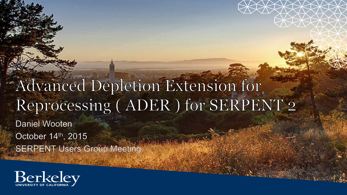#### Advanced Depletion Extension for Reprocessing (ADER) for SERPENT 2

**Daniel Wooten** October 14th, 2015 **SERPENT Users Group Meeting** 

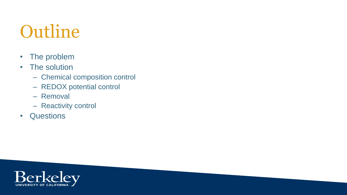#### Outline

• The problem

#### • The solution

- Chemical composition control
- REDOX potential control
- Removal
- Reactivity control
- Questions

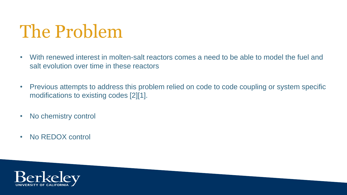#### The Problem

- With renewed interest in molten-salt reactors comes a need to be able to model the fuel and salt evolution over time in these reactors
- Previous attempts to address this problem relied on code to code coupling or system specific modifications to existing codes [2][1].
- No chemistry control
- No REDOX control

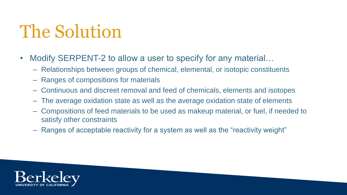#### The Solution

- Modify SERPENT-2 to allow a user to specify for any material...
	- Relationships between groups of chemical, elemental, or isotopic constituents
	- Ranges of compositions for materials
	- Continuous and discreet removal and feed of chemicals, elements and isotopes
	- The average oxidation state as well as the average oxidation state of elements
	- Compositions of feed materials to be used as makeup material, or fuel, if needed to satisfy other constraints
	- Ranges of acceptable reactivity for a system as well as the "reactivity weight"

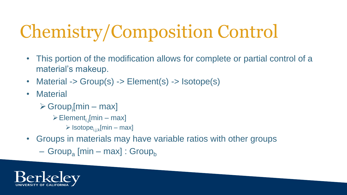- This portion of the modification allows for complete or partial control of a material's makeup.
- Material -> Group(s) -> Element(s) -> Isotope(s)
- Material
	- $\triangleright$  Group<sub>i</sub>[min max]
		- $\triangleright$  Element<sub>i.j</sub>[min max]
			- $\triangleright$  Isotope<sub>i,i,k</sub>[min max]
- Groups in materials may have variable ratios with other groups
	- Group<sub>a</sub> [min max] : Group<sub>b</sub>

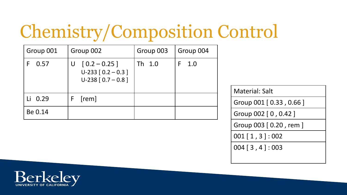| Group 001 | Group 002                                                               | Group 003 | Group 004 |
|-----------|-------------------------------------------------------------------------|-----------|-----------|
| 0.57      | $[0.2 - 0.25]$<br>U<br>$U-233$ $[0.2 - 0.3]$<br>$U-238$ [ $0.7 - 0.8$ ] | Th 1.0    | 1.0       |
| Li 0.29   | [rem]<br>F                                                              |           |           |
| Be 0.14   |                                                                         |           |           |

Material: Salt

Group 001 [ 0.33 , 0.66 ]

Group 002 [ 0 , 0.42 ]

Group 003 [ 0.20 , rem ]

001 [ 1 , 3 ] : 002

004 [ 3 , 4 ] : 003

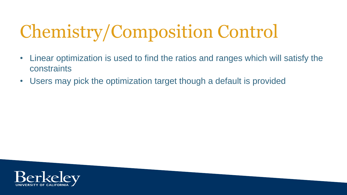- Linear optimization is used to find the ratios and ranges which will satisfy the constraints
- Users may pick the optimization target though a default is provided

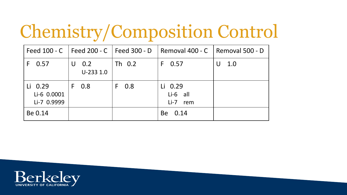|                                       | Feed 100 - C Feed 200 - C Feed 300 - D |          | Removal 400 - C   Removal 500 - D |          |
|---------------------------------------|----------------------------------------|----------|-----------------------------------|----------|
| $F$ 0.57                              | $U$ 0.2<br>$U-233$ 1.0                 | Th 0.2   | 0.57<br>F.                        | 1.0<br>U |
| Li 0.29<br>Li-6 0.0001<br>Li-7 0.9999 | $F$ 0.8                                | 0.8<br>F | Li 0.29<br>Li-6 all<br>Li-7 rem   |          |
| Be 0.14                               |                                        |          | Be 0.14                           |          |

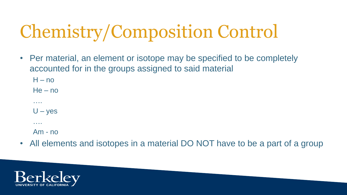• Per material, an element or isotope may be specified to be completely accounted for in the groups assigned to said material

 $H - no$ 

He – no

 $U - yes$ 

….

….

Am - no

• All elements and isotopes in a material DO NOT have to be a part of a group

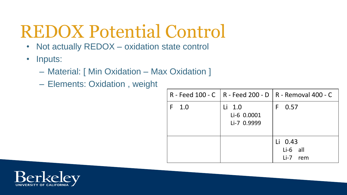#### REDOX Potential Control

- Not actually REDOX oxidation state control
- Inputs:
	- Material: [ Min Oxidation Max Oxidation ]
	- Elements: Oxidation , weight

|     |                                      | R - Feed 100 - C   R - Feed 200 - D   R - Removal 400 - C |
|-----|--------------------------------------|-----------------------------------------------------------|
| 1.0 | Li 1.0<br>Li-6 0.0001<br>Li-7 0.9999 | 0.57<br>F                                                 |
|     |                                      | Li 0.43<br>$Li-6$ all<br>Li-7 rem                         |

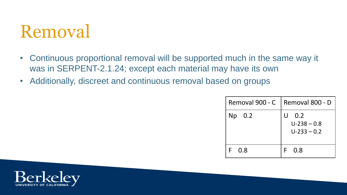#### Removal

- Continuous proportional removal will be supported much in the same way it was in SERPENT-2.1.24; except each material may have its own
- Additionally, discreet and continuous removal based on groups

| Removal 900 - C | Removal 800 - D                                       |
|-----------------|-------------------------------------------------------|
| $Np$ 0.2        | $\mathsf{U}$<br>0.2<br>$U-238 - 0.8$<br>$U-233 - 0.2$ |
| 0.8             | 0.8                                                   |

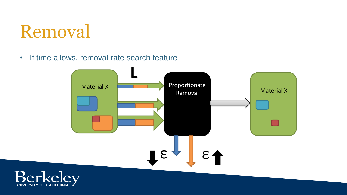#### Removal

• If time allows, removal rate search feature



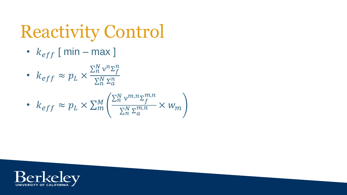## Reactivity Control

- $k_{eff}$  [ min max ]
- $k_{eff} \approx p_L \times$  $\Sigma_n^N$  ν ${}^n\Sigma_f^n$  $\Sigma_n^N$  Σ $^n_a$

• 
$$
k_{eff} \approx p_L \times \sum_m^M \left( \frac{\sum_n^N v^{m,n} \sum_f^{m,n}}{\sum_n^N \sum_a^{m,n}} \times w_m \right)
$$

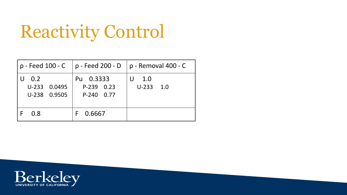## Reactivity Control

|                                     |                                       | $p - Feed 100 - C$   $p - Feed 200 - D$   $p - Removal 400 - C$ |
|-------------------------------------|---------------------------------------|-----------------------------------------------------------------|
| 0.2<br>U-233 0.0495<br>U-238 0.9505 | Pu 0.3333<br>P-239 0.23<br>P-240 0.77 | 1.0<br>$U-233$ 1.0                                              |
| 0.8                                 | 0.6667                                |                                                                 |

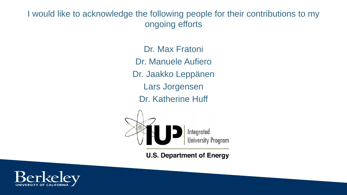I would like to acknowledge the following people for their contributions to my ongoing efforts

> Dr. Max Fratoni Dr. Manuele Aufiero Dr. Jaakko Leppänen Lars Jorgensen Dr. Katherine Huff



**U.S. Department of Energy**